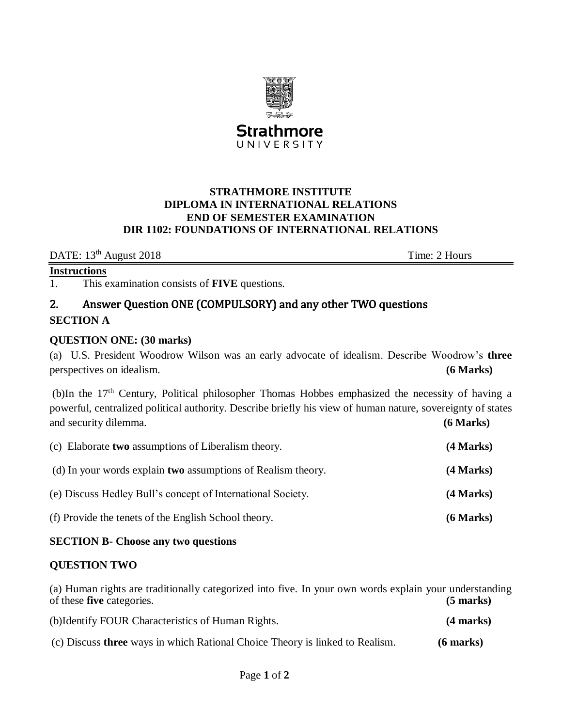

## **STRATHMORE INSTITUTE DIPLOMA IN INTERNATIONAL RELATIONS END OF SEMESTER EXAMINATION DIR 1102: FOUNDATIONS OF INTERNATIONAL RELATIONS**

DATE: 13<sup>th</sup> August 2018 Time: 2 Hours

#### **Instructions**

1. This examination consists of **FIVE** questions.

# 2. Answer Question ONE (COMPULSORY) and any other TWO questions **SECTION A**

## **QUESTION ONE: (30 marks)**

(a) U.S. President Woodrow Wilson was an early advocate of idealism. Describe Woodrow's **three** perspectives on idealism. **(6 Marks)**

(b)In the 17th Century, Political philosopher Thomas Hobbes emphasized the necessity of having a powerful, centralized political authority. Describe briefly his view of human nature, sovereignty of states and security dilemma. **(6 Marks)**

| (c) Elaborate two assumptions of Liberalism theory.                 | (4 Marks) |
|---------------------------------------------------------------------|-----------|
| (d) In your words explain <b>two</b> assumptions of Realism theory. | (4 Marks) |
| (e) Discuss Hedley Bull's concept of International Society.         | (4 Marks) |
| (f) Provide the tenets of the English School theory.                | (6 Marks) |

## **SECTION B- Choose any two questions**

## **QUESTION TWO**

(a) Human rights are traditionally categorized into five. In your own words explain your understanding of these **five** categories. **(5 marks)** (b)Identify FOUR Characteristics of Human Rights. **(4 marks)** (c) Discuss **three** ways in which Rational Choice Theory is linked to Realism. **(6 marks)**